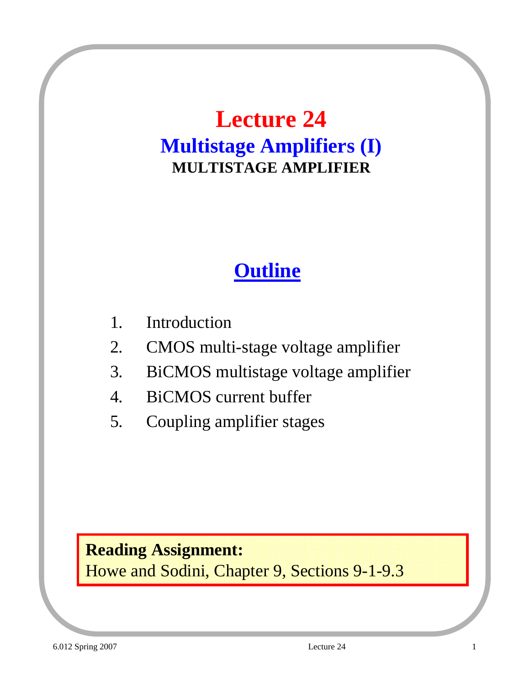### **Lecture 24 Multistage Amplifiers (I) MULTISTAGE AMPLIFIER**

### **Outline**

- 1. Introduction
- 2. CMOS multi-stage voltage amplifier
- 3. BiCMOS multistage voltage amplifier
- 4. BiCMOS current buffer
- 5. Coupling amplifier stages

#### **Reading Assignment:**

Howe and Sodini, Chapter 9, Sections 9-1-9.3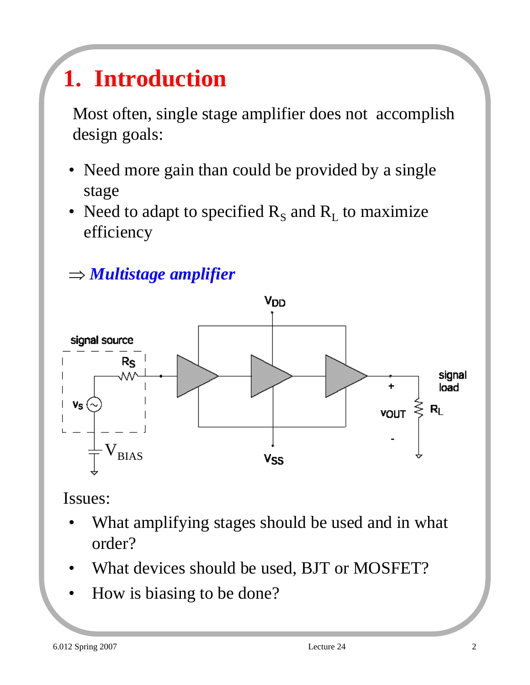# **1. Introduction**

Most often, single stage amplifier does not accomplish design goals:

- Need more gain than could be provided by a single stage
- Need to adapt to specified  $R_s$  and  $R_t$  to maximize efficiency





Issues:

- What amplifying stages should be used and in what order?
- What devices should be used, BJT or MOSFET?
- How is biasing to be done?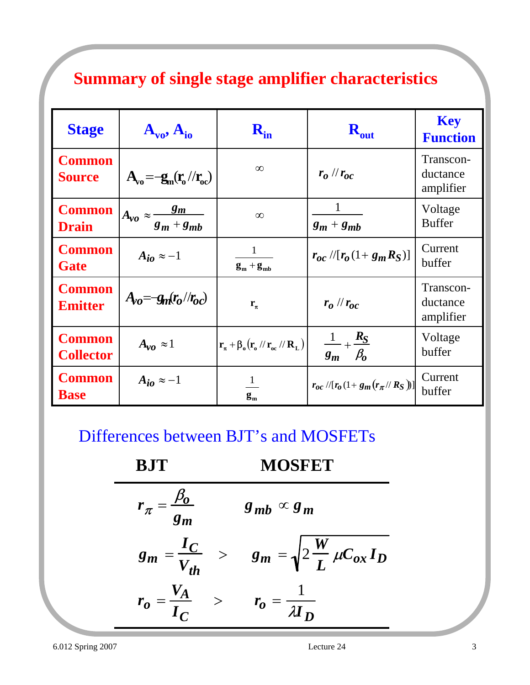#### **Summary of single stage amplifier characteristics**

| <b>Stage</b>                      | $A_{\nu 0}$ , $A_{\nu 0}$                       |                                                                                                                 | $R_{out}$                                     | <b>Key</b><br><b>Function</b>      |
|-----------------------------------|-------------------------------------------------|-----------------------------------------------------------------------------------------------------------------|-----------------------------------------------|------------------------------------|
| <b>Common</b><br><b>Source</b>    | $A_{\rm va} = -g_{\rm m}(r_{\rm o}/r_{\rm oc})$ | $\infty$                                                                                                        | $r_o$ // $r_{oc}$                             | Transcon-<br>ductance<br>amplifier |
| <b>Common</b><br><b>Drain</b>     | $A_{\nu o}\approx \frac{g_m}{g_m+g_{mb}}$       | $\infty$                                                                                                        | $g_m + g_{mb}$                                | Voltage<br><b>Buffer</b>           |
| <b>Common</b><br>Gate             | $A_{i\theta} \approx -1$                        | $\mathbf{g}_{\rm m} + \mathbf{g}_{\rm mb}$                                                                      | $r_{oc}$ //[ $r_o$ (1+ $g_m R_S$ )]           | Current<br>buffer                  |
| <b>Common</b><br><b>Emitter</b>   | $A_{0} = -g_{m}(r_{0}/r_{0c})$                  | $r_{\pi}$                                                                                                       | $r_o$ // $r_{oc}$                             | Transcon-<br>ductance<br>amplifier |
| <b>Common</b><br><b>Collector</b> | $A_{\nu\rho} \approx 1$                         | $\mathbf{r}_{\pi} + \beta_{\rm o}(\mathbf{r}_{\rm o}^{\prime}/\mathbf{r}_{\rm oc}^{\prime}/\mathbf{R}_{\rm L})$ | $\frac{1}{g_m} + \frac{R_S}{\beta_0}$         | Voltage<br>buffer                  |
| <b>Common</b><br><b>Base</b>      | $A_{i\alpha} \approx -1$                        | $\mathbf{g}_{\mathbf{m}}$                                                                                       | $r_{oc}$ //[ $r_o$ (1 + $g_m(r_{\pi}/R_S)$ )] | Current<br>buffer                  |

Differences between BJT's and MOSFETs

 $r_{\pi} = \frac{\beta_0}{\sigma}$ *gm*  $g_{mb} \propto g_m$  $g_m = \frac{I_C}{V}$ *Vth*  $>$   $g_m = \sqrt{2 \frac{W}{I}}$  $\frac{V}{L}$   $\mu C_{ox} I_D$  $r_o = \frac{V_A}{I}$ *IC*  $\epsilon > r_0 = \frac{1}{\pi}$  $\bm{M}_{\bm{D}}$ **BJT MOSFET**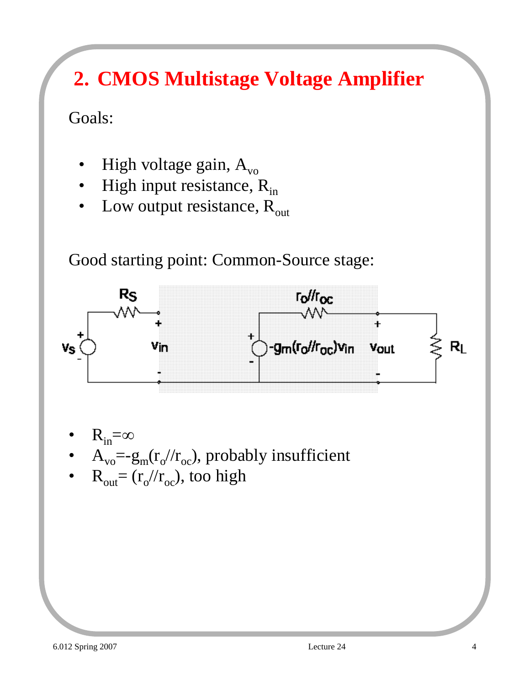### **2. CMOS Multistage Voltage Amplifier**

Goals:

- High voltage gain,  $A_{vo}$
- High input resistance,  $R_{in}$
- Low output resistance,  $R_{out}$

Good starting point: Common-Source stage:



- $R_{in}=\infty$
- $A_{\text{vo}} = -g_{\text{m}}(r_{\text{o}}/r_{\text{oc}})$ , probably insufficient
- $R_{\text{out}} = (r_o/r_{oc})$ , too high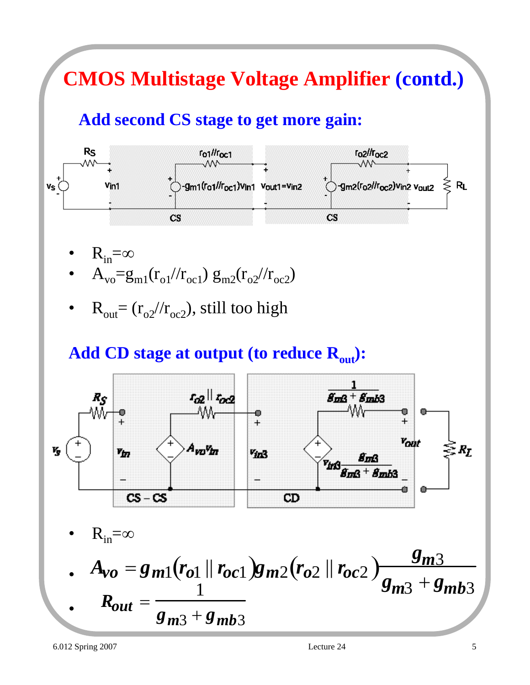## **CMOS Multistage Voltage Amplifier (contd.)**

### **Add second CS stage to get more gain:**



- $R_{in}=\infty$
- $A_{\rm vo} = g_{\rm ml}(r_{\rm ol}/r_{\rm oc1}) g_{\rm m2}(r_{\rm o2}/r_{\rm oc2})$
- $R_{\text{out}} = (r_{o2}/r_{oc2})$ , still too high

#### Add CD stage at output (to reduce R<sub>out</sub>):



• 
$$
A_{vo} = g_{m1}(r_{o1} || r_{oc1})g_{m2}(r_{o2} || r_{oc2}) \frac{g_{m3}}{g_{m3} + g_{mb3}}
$$
  
\n•  $R_{out} = \frac{1}{g_{m3} + g_{mb3}}$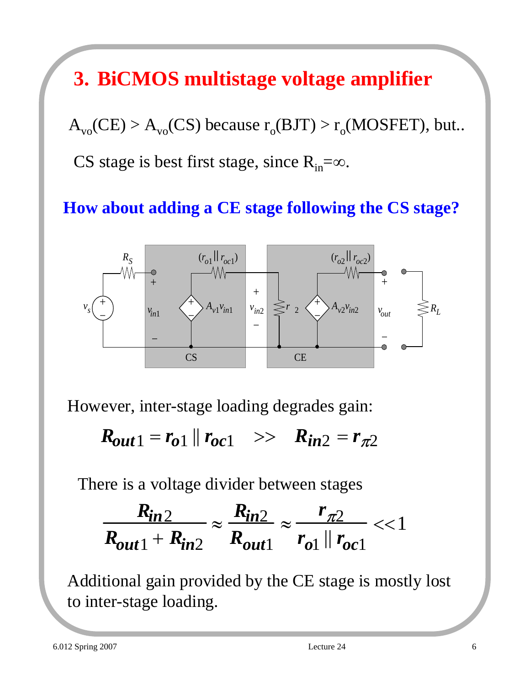### **3. BiCMOS multistage voltage amplifier**

 $A_{\text{vo}}(CE) > A_{\text{vo}}(CS)$  because  $r_{\text{o}}(BIT) > r_{\text{o}}(MOSFET)$ , but... CS stage is best first stage, since  $R_{in} = \infty$ .

#### **How about adding a CE stage following the CS stage?**



However, inter-stage loading degrades gain:

 $R_{out1} = r_{01} || r_{0c1} >> R_{in2} = r_{\pi 2}$ 

There is a voltage divider between stages

$$
\frac{R_{in2}}{R_{out1}+R_{in2}} \approx \frac{R_{in2}}{R_{out1}} \approx \frac{r_{\pi2}}{r_{o1} \parallel r_{oc1}} << 1
$$

Additional gain provided by the CE stage is mostly lost to inter-stage loading.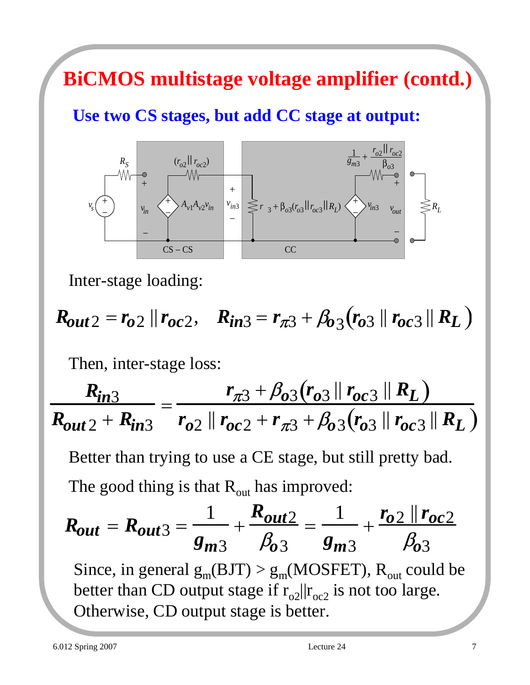### **BiCMOS multistage voltage amplifier (contd.)**

#### **Use two CS stages, but add CC stage at output:**



Inter-stage loading:

$$
R_{out2} = r_{o2} || r_{oc2}, \quad R_{in3} = r_{\pi 3} + \beta_{o3} (r_{o3} || r_{oc3} || R_L)
$$

Then, inter-stage loss:

*Rin*<sup>3</sup>  $R_{out2} + R_{in3}$ =  $r_{\pi 3} + \beta_{03} (r_{03} || r_{0c3} || R_L)$  $r_{o2} || r_{oc2} + r_{\pi3} + \beta_{o3} (r_{o3} || r_{oc3} || R_L)$ 

Better than trying to use a CE stage, but still pretty bad. The good thing is that  $R_{out}$  has improved:

$$
R_{out} = R_{out3} = \frac{1}{g_{m3}} + \frac{R_{out2}}{\beta_{03}} = \frac{1}{g_{m3}} + \frac{r_{02} || r_{oc2}}{\beta_{03}}
$$
  
Since, in general g<sub>m</sub>(BIT) > g<sub>m</sub>(MOSFET), R<sub>out</sub> could be  
better than CD output stage if r<sub>o2</sub> ||r<sub>oc2</sub> is not too large.

Otherwise, CD output stage is better.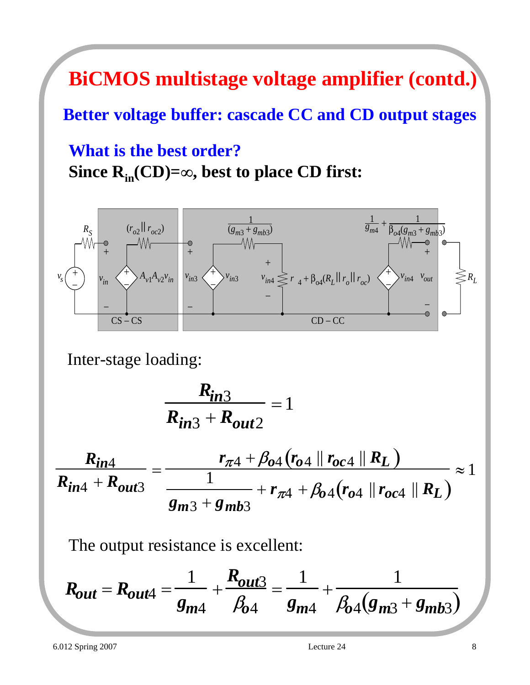### **BiCMOS multistage voltage amplifier (contd.)**

#### **Better voltage buffer: cascade CC and CD output stages**

**What is the best order? Since Rin(CD)=**∞**, best to place CD first:**



Inter-stage loading:

$$
\frac{R_{in3}}{R_{in3}+R_{out2}}=1
$$

$$
\frac{R_{in4}}{R_{in4} + R_{out3}} = \frac{r_{\pi 4} + \beta_{04} (r_{04} || r_{oc4} || R_L)}{\frac{1}{8m3} + s_{mb3}} + r_{\pi 4} + \beta_{04} (r_{04} || r_{oc4} || R_L)} \approx 1
$$

The output resistance is excellent:

$$
R_{out} = R_{out4} = \frac{1}{g_{m4}} + \frac{R_{out3}}{\beta_{04}} = \frac{1}{g_{m4}} + \frac{1}{\beta_{04}(g_{m3} + g_{mb3})}
$$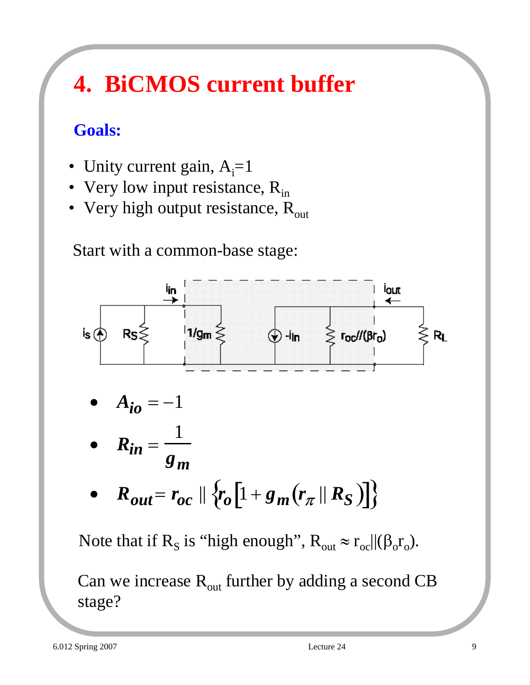# **4. BiCMOS current buffer**

### **Goals:**

- Unity current gain,  $A_i = 1$
- Very low input resistance,  $R_{in}$
- Very high output resistance,  $R_{out}$

Start with a common-base stage:



• 
$$
R_{in} = \frac{1}{g_m}
$$

•  $R_{out} = r_{oc} \|\{r_o[1 + g_m(r_\pi \| R_S)]\}$ 

Note that if R<sub>S</sub> is "high enough",  $R_{out} \approx r_{oc} ||(\beta_0 r_o)$ .

Can we increase  $R_{out}$  further by adding a second CB stage?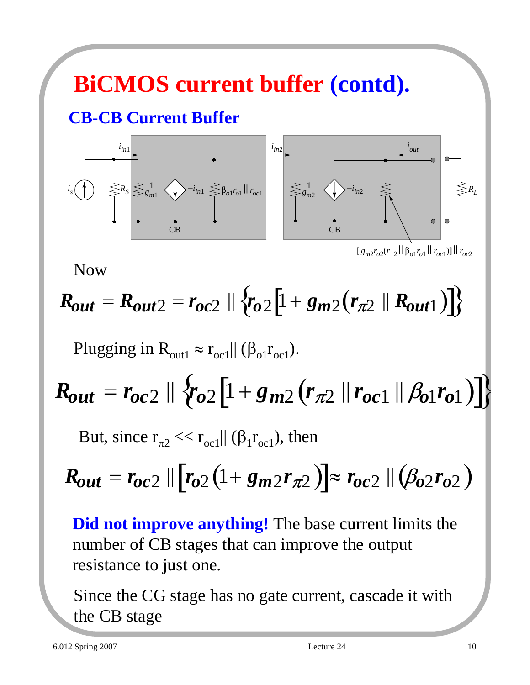# **BiCMOS current buffer (contd).**

#### **CB-CB Current Buffer**



 $[g_{m2}r_{o2}(r_{2}||\beta_{o1}r_{o1}||r_{oc1})]||r_{oc2}$ 

Now

# $R_{out} = R_{out2} = r_{oc2} || \{r_{o2}[1+g_{m2}(r_{\pi2} || R_{out1})] \}$

Plugging in  $R_{\text{out1}} \approx r_{\text{oc1}} || (\beta_{\text{o1}} r_{\text{oc1}})$ .

$$
R_{out} = r_{oc2} \parallel \{r_{o2}[1 + g_{m2}(r_{\pi2} \parallel r_{oc1} \parallel \beta_{o1}r_{o1})]\}
$$

But, since  $r_{\pi2} \ll r_{oc1} || (\beta_1 r_{oc1})$ , then

$$
R_{out} = r_{oc2} || [r_{o2} (1 + g_{m2} r_{\pi2})] \approx r_{oc2} || (\beta_{o2} r_{o2})
$$

**Did not improve anything!** The base current limits the number of CB stages that can improve the output resistance to just one.

Since the CG stage has no gate current, cascade it with the CB stage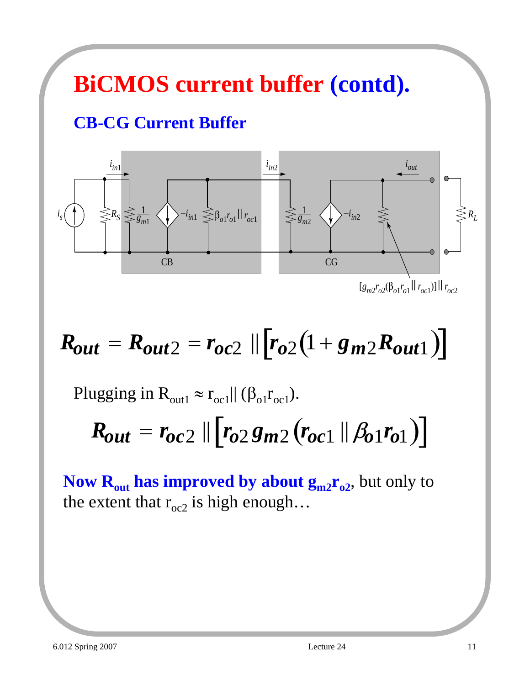# **BiCMOS current buffer (contd).**

### **CB-CG Current Buffer**



# $R_{out} = R_{out2} = r_{oc2} || [r_{o2}(1 + g_{m2}R_{out1})]$

Plugging in  $R_{\text{out1}} \approx r_{\text{oc1}} || (\beta_{\text{o1}} r_{\text{oc1}})$ .

$$
R_{out} = r_{oc2} \, || \, [r_{o2}g_{m2}(r_{oc1} \, || \, \beta_{o1}r_{o1})]
$$

**Now R<sub>out</sub> has improved by about**  $g_{m2}r_{02}$ **,** but only to the extent that  $r_{oc2}$  is high enough...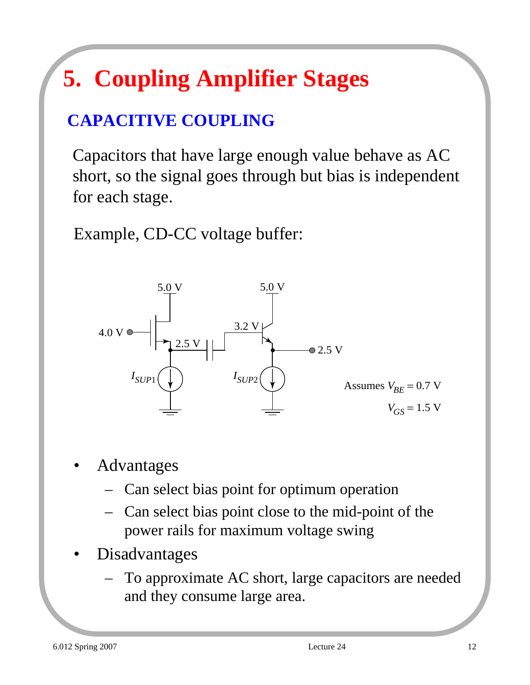# **5. Coupling Amplifier Stages**

### **CAPACITIVE COUPLING**

Capacitors that have large enough value behave as AC short, so the signal goes through but bias is independent for each stage.

Example, CD-CC voltage buffer:



- Advantages
	- Can select bias point for optimum operation
	- Can select bias point close to the mid-point of the power rails for maximum voltage swing
- **Disadvantages** 
	- To approximate AC short, large capacitors are needed and they consume large area.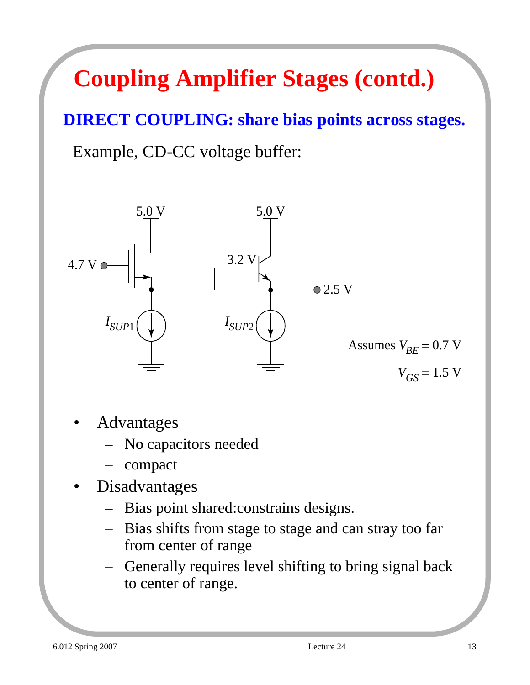# **Coupling Amplifier Stages (contd.)**

### **DIRECT COUPLING: share bias points across stages.**

Example, CD-CC voltage buffer:



- **Advantages** 
	- No capacitors needed
	- compact
- **Disadvantages** 
	- Bias point shared:constrains designs.
	- Bias shifts from stage to stage and can stray too far from center of range
	- Generally requires level shifting to bring signal back to center of range.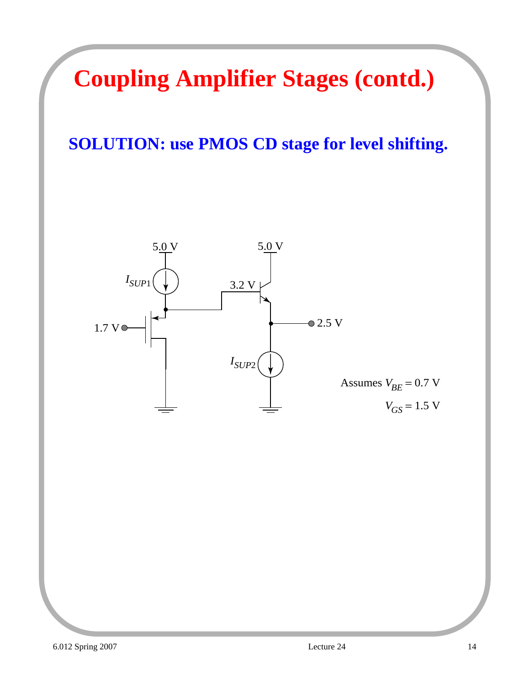# **Coupling Amplifier Stages (contd.)**

### **SOLUTION: use PMOS CD stage for level shifting.**

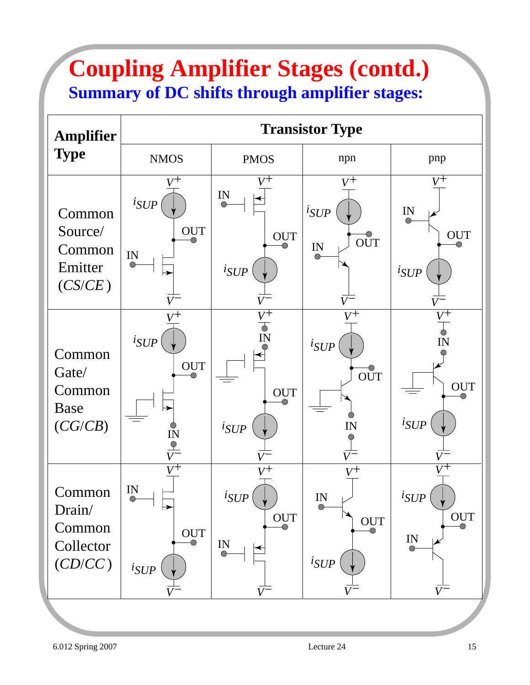### **Coupling Amplifier Stages (contd.) Summary of DC shifts through amplifier stages:**